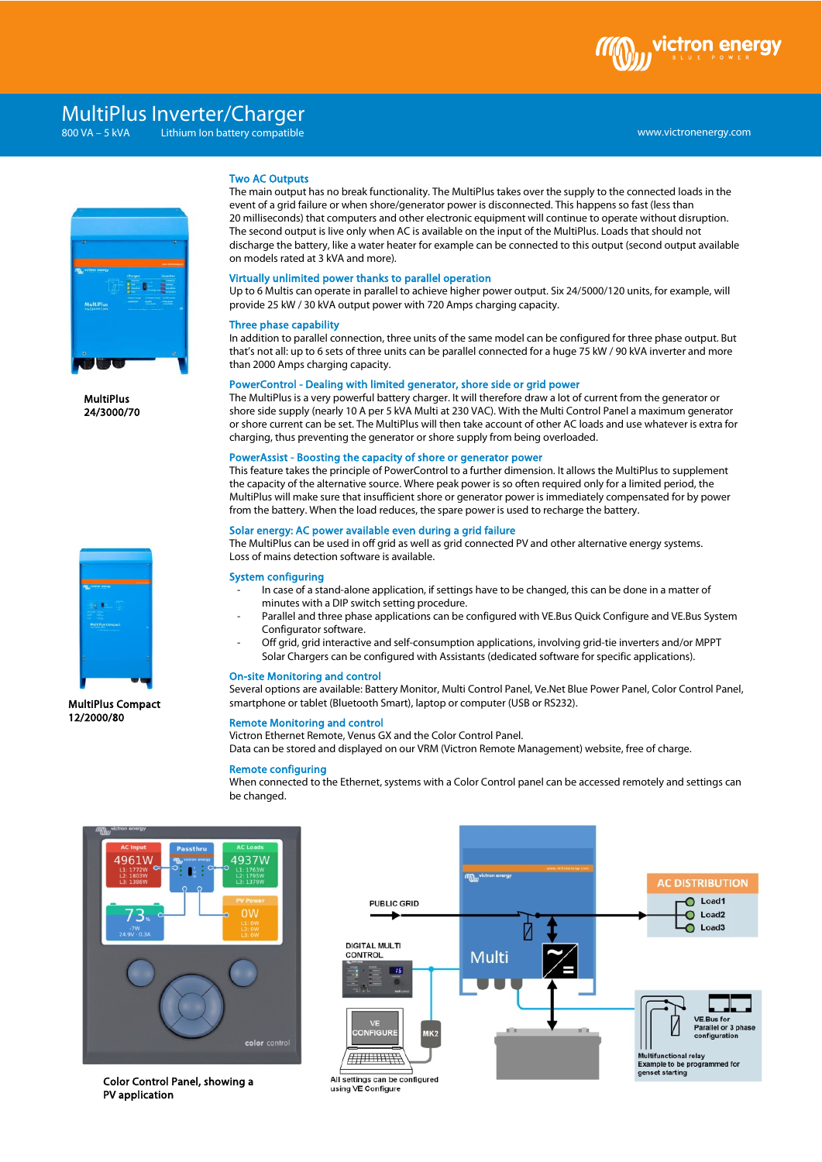

# \ MultiPlus Inverter/Charger

 $800\,\text{VA} - 5\,\text{kVA}$ Lithium Ion battery compatible



MultiPlus 24/3000/70



MultiPlus Compact 12/2000/80

### Two AC Outputs

The main output has no break functionality. The MultiPlus takes over the supply to the connected loads in the event of a grid failure or when shore/generator power is disconnected. This happens so fast (less than 20 milliseconds) that computers and other electronic equipment will continue to operate without disruption. The second output is live only when AC is available on the input of the MultiPlus. Loads that should not discharge the battery, like a water heater for example can be connected to this output (second output available on models rated at 3 kVA and more).

#### Virtually unlimited power thanks to parallel operation

Up to 6 Multis can operate in parallel to achieve higher power output. Six 24/5000/120 units, for example, will provide 25 kW / 30 kVA output power with 720 Amps charging capacity.

#### Three phase capability

In addition to parallel connection, three units of the same model can be configured for three phase output. But that's not all: up to 6 sets of three units can be parallel connected for a huge 75 kW / 90 kVA inverter and more than 2000 Amps charging capacity.

### PowerControl - Dealing with limited generator, shore side or grid power

The MultiPlus is a very powerful battery charger. It will therefore draw a lot of current from the generator or shore side supply (nearly 10 A per 5 kVA Multi at 230 VAC). With the Multi Control Panel a maximum generator or shore current can be set. The MultiPlus will then take account of other AC loads and use whatever is extra for charging, thus preventing the generator or shore supply from being overloaded.

### PowerAssist - Boosting the capacity of shore or generator power

This feature takes the principle of PowerControl to a further dimension. It allows the MultiPlus to supplement the capacity of the alternative source. Where peak power is so often required only for a limited period, the MultiPlus will make sure that insufficient shore or generator power is immediately compensated for by power from the battery. When the load reduces, the spare power is used to recharge the battery.

#### Solar energy: AC power available even during a grid failure

The MultiPlus can be used in off grid as well as grid connected PV and other alternative energy systems. Loss of mains detection software is available.

### System configuring

- In case of a stand-alone application, if settings have to be changed, this can be done in a matter of minutes with a DIP switch setting procedure.
- Parallel and three phase applications can be configured with VE.Bus Quick Configure and VE.Bus System Configurator software.
- Off grid, grid interactive and self-consumption applications, involving grid-tie inverters and/or MPPT Solar Chargers can be configured with Assistants (dedicated software for specific applications).

#### On-site Monitoring and control

Several options are available: Battery Monitor, Multi Control Panel, Ve.Net Blue Power Panel, Color Control Panel, smartphone or tablet (Bluetooth Smart), laptop or computer (USB or RS232).

## Remote Monitoring and control

Victron Ethernet Remote, Venus GX and the Color Control Panel.

Data can be stored and displayed on our VRM (Victron Remote Management) website, free of charge.

#### Remote configuring

When connected to the Ethernet, systems with a Color Control panel can be accessed remotely and settings can be changed.



Color Control Panel, showing a PV application